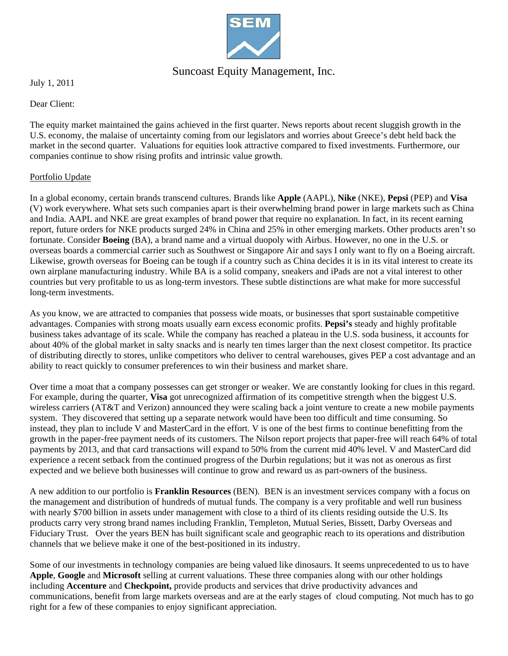

# Suncoast Equity Management, Inc.

July 1, 2011

Dear Client:

The equity market maintained the gains achieved in the first quarter. News reports about recent sluggish growth in the U.S. economy, the malaise of uncertainty coming from our legislators and worries about Greece's debt held back the market in the second quarter. Valuations for equities look attractive compared to fixed investments. Furthermore, our companies continue to show rising profits and intrinsic value growth.

## Portfolio Update

In a global economy, certain brands transcend cultures. Brands like **Apple** (AAPL), **Nike** (NKE), **Pepsi** (PEP) and **Visa**  (V) work everywhere. What sets such companies apart is their overwhelming brand power in large markets such as China and India. AAPL and NKE are great examples of brand power that require no explanation. In fact, in its recent earning report, future orders for NKE products surged 24% in China and 25% in other emerging markets. Other products aren't so fortunate. Consider **Boeing** (BA), a brand name and a virtual duopoly with Airbus. However, no one in the U.S. or overseas boards a commercial carrier such as Southwest or Singapore Air and says I only want to fly on a Boeing aircraft. Likewise, growth overseas for Boeing can be tough if a country such as China decides it is in its vital interest to create its own airplane manufacturing industry. While BA is a solid company, sneakers and iPads are not a vital interest to other countries but very profitable to us as long-term investors. These subtle distinctions are what make for more successful long-term investments.

As you know, we are attracted to companies that possess wide moats, or businesses that sport sustainable competitive advantages. Companies with strong moats usually earn excess economic profits. **Pepsi's** steady and highly profitable business takes advantage of its scale. While the company has reached a plateau in the U.S. soda business, it accounts for about 40% of the global market in salty snacks and is nearly ten times larger than the next closest competitor. Its practice of distributing directly to stores, unlike competitors who deliver to central warehouses, gives PEP a cost advantage and an ability to react quickly to consumer preferences to win their business and market share.

Over time a moat that a company possesses can get stronger or weaker. We are constantly looking for clues in this regard. For example, during the quarter, **Visa** got unrecognized affirmation of its competitive strength when the biggest U.S. wireless carriers (AT&T and Verizon) announced they were scaling back a joint venture to create a new mobile payments system. They discovered that setting up a separate network would have been too difficult and time consuming. So instead, they plan to include V and MasterCard in the effort. V is one of the best firms to continue benefitting from the growth in the paper-free payment needs of its customers. The Nilson report projects that paper-free will reach 64% of total payments by 2013, and that card transactions will expand to 50% from the current mid 40% level. V and MasterCard did experience a recent setback from the continued progress of the Durbin regulations; but it was not as onerous as first expected and we believe both businesses will continue to grow and reward us as part-owners of the business.

A new addition to our portfolio is **Franklin Resources** (BEN). BEN is an investment services company with a focus on the management and distribution of hundreds of mutual funds. The company is a very profitable and well run business with nearly \$700 billion in assets under management with close to a third of its clients residing outside the U.S. Its products carry very strong brand names including Franklin, Templeton, Mutual Series, Bissett, Darby Overseas and Fiduciary Trust. Over the years BEN has built significant scale and geographic reach to its operations and distribution channels that we believe make it one of the best-positioned in its industry.

Some of our investments in technology companies are being valued like dinosaurs. It seems unprecedented to us to have **Apple**, **Google** and **Microsoft** selling at current valuations. These three companies along with our other holdings including **Accenture** and **Checkpoint,** provide products and services that drive productivity advances and communications, benefit from large markets overseas and are at the early stages of cloud computing. Not much has to go right for a few of these companies to enjoy significant appreciation.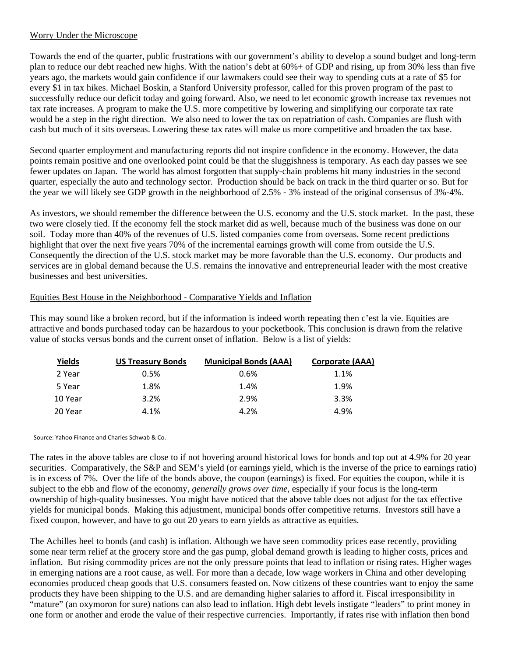### Worry Under the Microscope

Towards the end of the quarter, public frustrations with our government's ability to develop a sound budget and long-term plan to reduce our debt reached new highs. With the nation's debt at 60%+ of GDP and rising, up from 30% less than five years ago, the markets would gain confidence if our lawmakers could see their way to spending cuts at a rate of \$5 for every \$1 in tax hikes. Michael Boskin, a Stanford University professor, called for this proven program of the past to successfully reduce our deficit today and going forward. Also, we need to let economic growth increase tax revenues not tax rate increases. A program to make the U.S. more competitive by lowering and simplifying our corporate tax rate would be a step in the right direction. We also need to lower the tax on repatriation of cash. Companies are flush with cash but much of it sits overseas. Lowering these tax rates will make us more competitive and broaden the tax base.

Second quarter employment and manufacturing reports did not inspire confidence in the economy. However, the data points remain positive and one overlooked point could be that the sluggishness is temporary. As each day passes we see fewer updates on Japan. The world has almost forgotten that supply-chain problems hit many industries in the second quarter, especially the auto and technology sector. Production should be back on track in the third quarter or so. But for the year we will likely see GDP growth in the neighborhood of 2.5% - 3% instead of the original consensus of 3%-4%.

As investors, we should remember the difference between the U.S. economy and the U.S. stock market. In the past, these two were closely tied. If the economy fell the stock market did as well, because much of the business was done on our soil. Today more than 40% of the revenues of U.S. listed companies come from overseas. Some recent predictions highlight that over the next five years 70% of the incremental earnings growth will come from outside the U.S. Consequently the direction of the U.S. stock market may be more favorable than the U.S. economy. Our products and services are in global demand because the U.S. remains the innovative and entrepreneurial leader with the most creative businesses and best universities.

#### Equities Best House in the Neighborhood - Comparative Yields and Inflation

This may sound like a broken record, but if the information is indeed worth repeating then c'est la vie. Equities are attractive and bonds purchased today can be hazardous to your pocketbook. This conclusion is drawn from the relative value of stocks versus bonds and the current onset of inflation. Below is a list of yields:

| <u>Yields</u> | <b>US Treasury Bonds</b> | <b>Municipal Bonds (AAA)</b> | Corporate (AAA) |
|---------------|--------------------------|------------------------------|-----------------|
| 2 Year        | 0.5%                     | $0.6\%$                      | 1.1%            |
| 5 Year        | 1.8%                     | 1.4%                         | 1.9%            |
| 10 Year       | 3.2%                     | 2.9%                         | 3.3%            |
| 20 Year       | 4.1%                     | 4.2%                         | 4.9%            |

Source: Yahoo Finance and Charles Schwab & Co.

The rates in the above tables are close to if not hovering around historical lows for bonds and top out at 4.9% for 20 year securities. Comparatively, the S&P and SEM's yield (or earnings yield, which is the inverse of the price to earnings ratio) is in excess of 7%. Over the life of the bonds above, the coupon (earnings) is fixed. For equities the coupon, while it is subject to the ebb and flow of the economy, *generally grows over time*, especially if your focus is the long-term ownership of high-quality businesses. You might have noticed that the above table does not adjust for the tax effective yields for municipal bonds. Making this adjustment, municipal bonds offer competitive returns. Investors still have a fixed coupon, however, and have to go out 20 years to earn yields as attractive as equities.

The Achilles heel to bonds (and cash) is inflation. Although we have seen commodity prices ease recently, providing some near term relief at the grocery store and the gas pump, global demand growth is leading to higher costs, prices and inflation. But rising commodity prices are not the only pressure points that lead to inflation or rising rates. Higher wages in emerging nations are a root cause, as well. For more than a decade, low wage workers in China and other developing economies produced cheap goods that U.S. consumers feasted on. Now citizens of these countries want to enjoy the same products they have been shipping to the U.S. and are demanding higher salaries to afford it. Fiscal irresponsibility in "mature" (an oxymoron for sure) nations can also lead to inflation. High debt levels instigate "leaders" to print money in one form or another and erode the value of their respective currencies. Importantly, if rates rise with inflation then bond